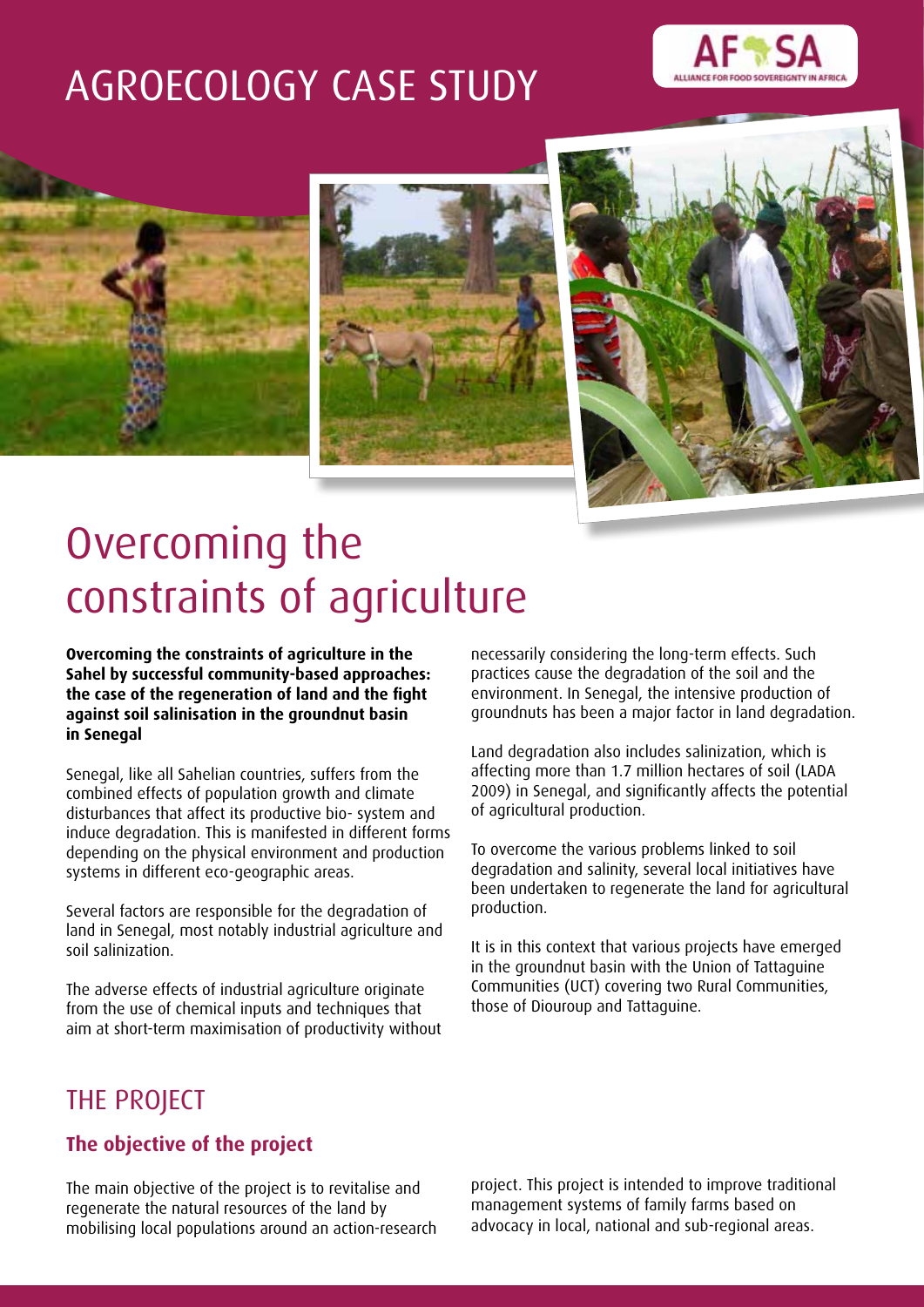# AGROECOLOGY CASE STUDY









# Overcoming the constraints of agriculture

**Overcoming the constraints of agriculture in the Sahel by successful community-based approaches: the case of the regeneration of land and the fight against soil salinisation in the groundnut basin in Senegal**

Senegal, like all Sahelian countries, suffers from the combined effects of population growth and climate disturbances that affect its productive bio- system and induce degradation. This is manifested in different forms depending on the physical environment and production systems in different eco-geographic areas.

Several factors are responsible for the degradation of land in Senegal, most notably industrial agriculture and soil salinization.

The adverse effects of industrial agriculture originate from the use of chemical inputs and techniques that aim at short-term maximisation of productivity without necessarily considering the long-term effects. Such practices cause the degradation of the soil and the environment. In Senegal, the intensive production of groundnuts has been a major factor in land degradation.

Land degradation also includes salinization, which is affecting more than 1.7 million hectares of soil (LADA 2009) in Senegal, and significantly affects the potential of agricultural production.

To overcome the various problems linked to soil degradation and salinity, several local initiatives have been undertaken to regenerate the land for agricultural production.

It is in this context that various projects have emerged in the groundnut basin with the Union of Tattaguine Communities (UCT) covering two Rural Communities, those of Diouroup and Tattaguine.

## THE PROJECT

## **The objective of the project**

The main objective of the project is to revitalise and regenerate the natural resources of the land by mobilising local populations around an action-research project. This project is intended to improve traditional management systems of family farms based on advocacy in local, national and sub-regional areas.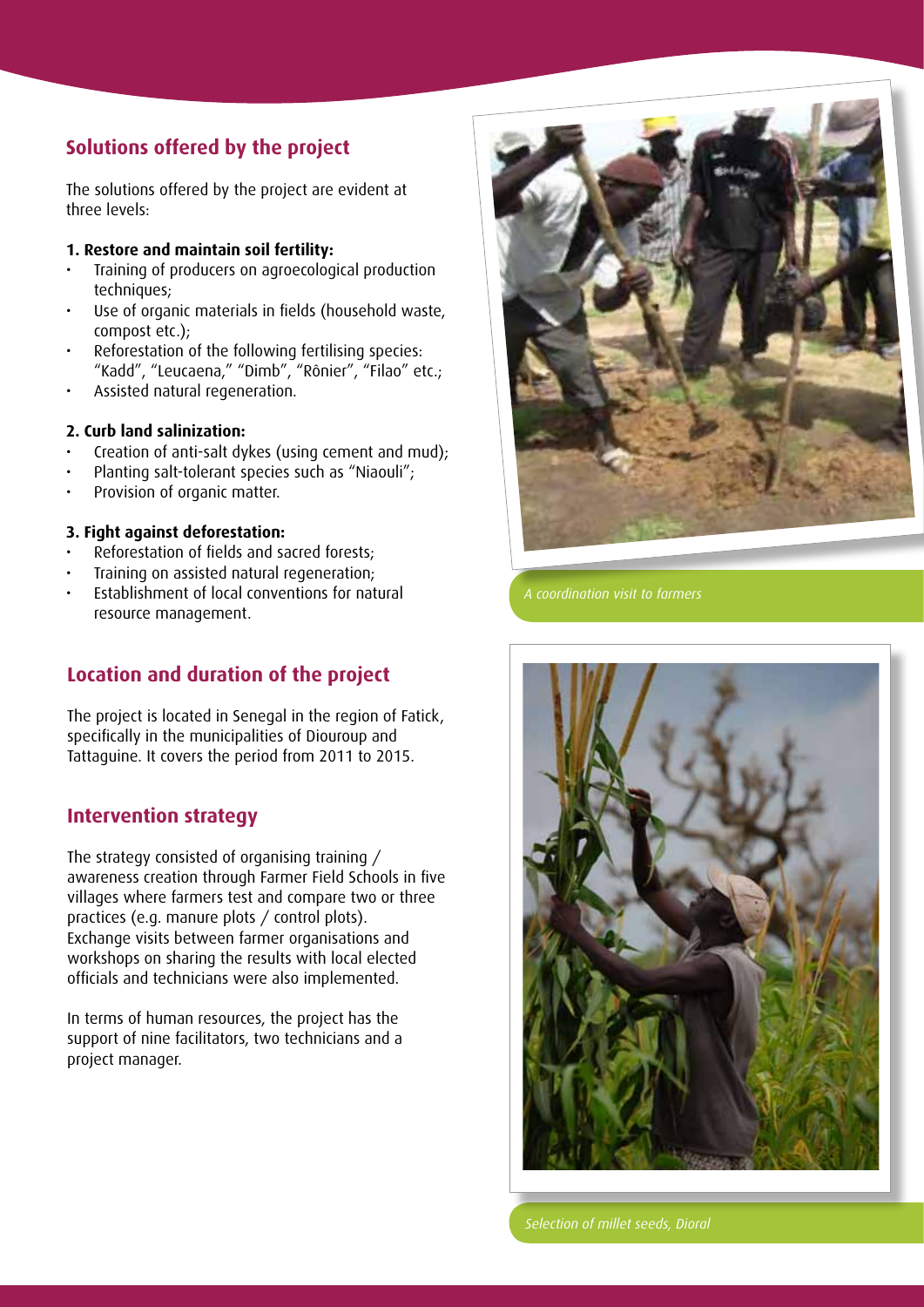## **Solutions offered by the project**

The solutions offered by the project are evident at three levels:

#### **1. Restore and maintain soil fertility:**

- Training of producers on agroecological production techniques:
- Use of organic materials in fields (household waste, compost etc.);
- Reforestation of the following fertilising species: "Kadd", "Leucaena," "Dimb", "Rônier", "Filao" etc.;
- Assisted natural regeneration.

#### **2. Curb land salinization:**

- Creation of anti-salt dykes (using cement and mud);
- Planting salt-tolerant species such as "Niaouli";
- Provision of organic matter.

#### **3. Fight against deforestation:**

- Reforestation of fields and sacred forests;
- Training on assisted natural regeneration;
- Establishment of local conventions for natural resource management.

## **Location and duration of the project**

The project is located in Senegal in the region of Fatick, specifically in the municipalities of Diouroup and Tattaguine. It covers the period from 2011 to 2015.

#### **Intervention strategy**

The strategy consisted of organising training / awareness creation through Farmer Field Schools in five villages where farmers test and compare two or three practices (e.g. manure plots / control plots). Exchange visits between farmer organisations and workshops on sharing the results with local elected officials and technicians were also implemented.

In terms of human resources, the project has the support of nine facilitators, two technicians and a project manager.



*A coordination visit to farmers*



*Selection of millet seeds, Dioral*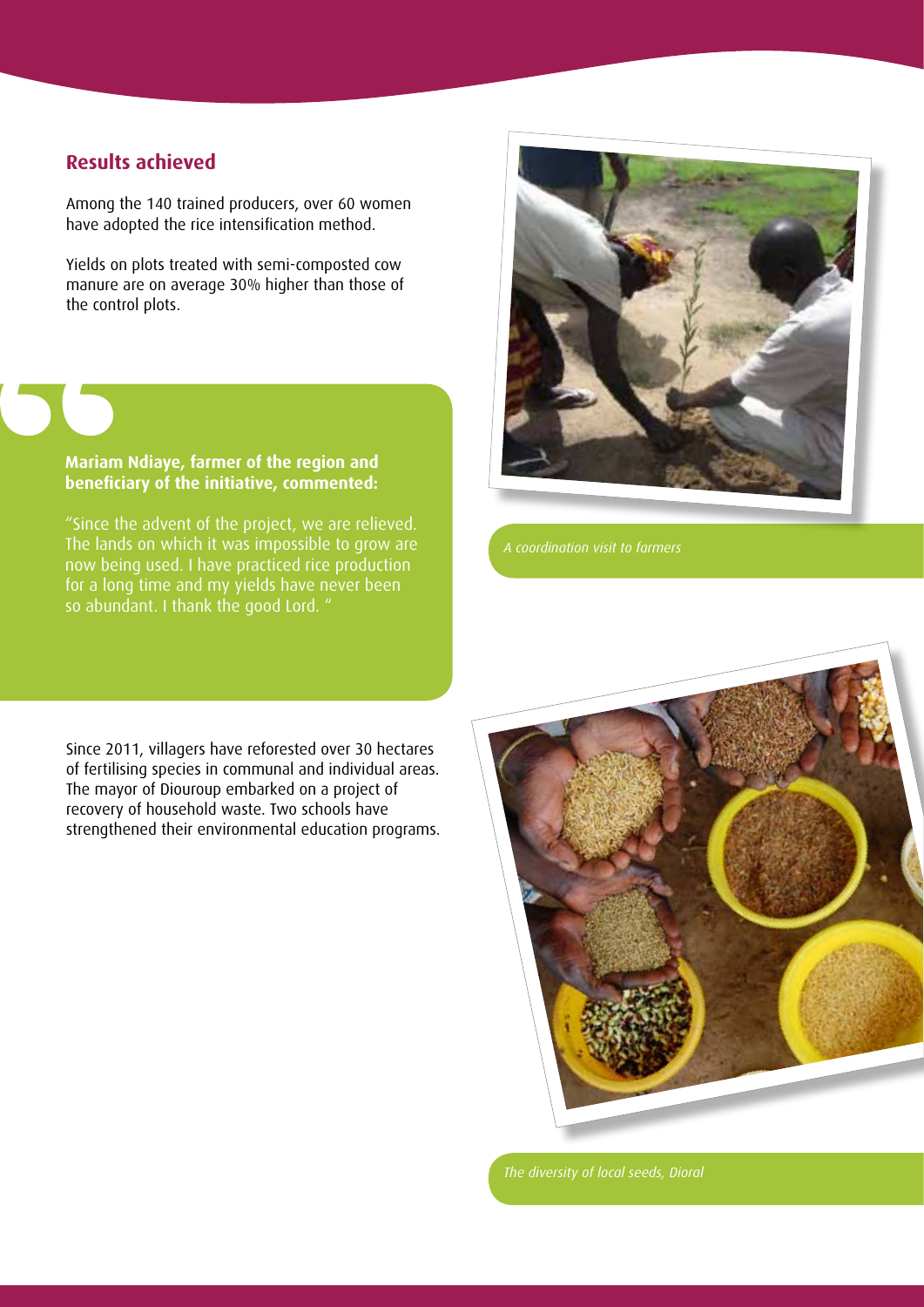#### **Results achieved**

Among the 140 trained producers, over 60 women have adopted the rice intensification method.

Yields on plots treated with semi-composted cow manure are on average 30% higher than those of the control plots.

#### **Mariam Ndiaye, farmer of the region and beneficiary of the initiative, commented:**

"Since the advent of the project, we are relieved. The lands on which it was impossible to grow are now being used. I have practiced rice production for a long time and my yields have never been so abundant. I thank the good Lord. "



Since 2011, villagers have reforested over 30 hectares of fertilising species in communal and individual areas. The mayor of Diouroup embarked on a project of recovery of household waste. Two schools have strengthened their environmental education programs.